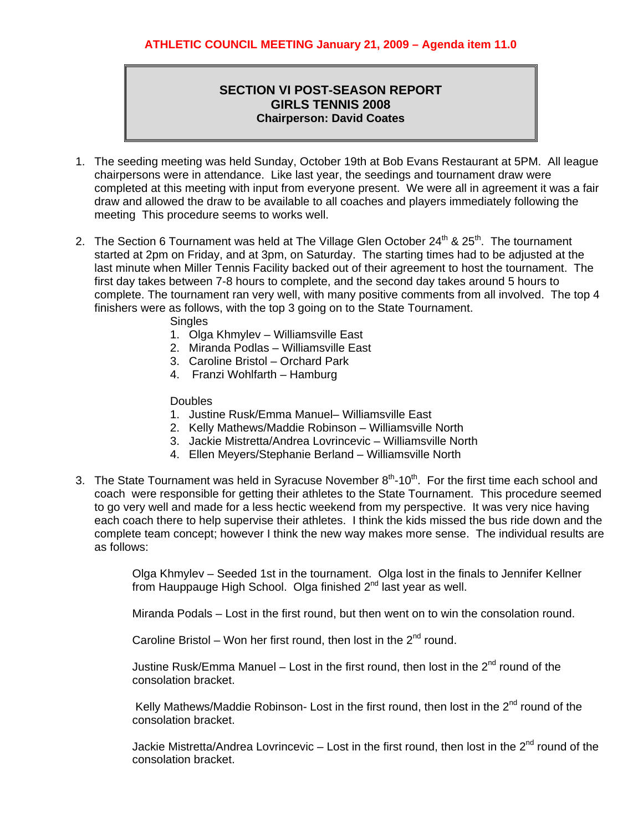## **SECTION VI POST-SEASON REPORT GIRLS TENNIS 2008 Chairperson: David Coates**

- 1. The seeding meeting was held Sunday, October 19th at Bob Evans Restaurant at 5PM. All league chairpersons were in attendance. Like last year, the seedings and tournament draw were completed at this meeting with input from everyone present. We were all in agreement it was a fair draw and allowed the draw to be available to all coaches and players immediately following the meeting This procedure seems to works well.
- 2. The Section 6 Tournament was held at The Village Glen October  $24<sup>th</sup>$  &  $25<sup>th</sup>$ . The tournament started at 2pm on Friday, and at 3pm, on Saturday. The starting times had to be adjusted at the last minute when Miller Tennis Facility backed out of their agreement to host the tournament. The first day takes between 7-8 hours to complete, and the second day takes around 5 hours to complete. The tournament ran very well, with many positive comments from all involved. The top 4 finishers were as follows, with the top 3 going on to the State Tournament.

**Singles** 

- 1. Olga Khmylev Williamsville East
- 2. Miranda Podlas Williamsville East
- 3. Caroline Bristol Orchard Park
- 4. Franzi Wohlfarth Hamburg

Doubles

- 1. Justine Rusk/Emma Manuel– Williamsville East
- 2. Kelly Mathews/Maddie Robinson Williamsville North
- 3. Jackie Mistretta/Andrea Lovrincevic Williamsville North
- 4. Ellen Meyers/Stephanie Berland Williamsville North
- 3. The State Tournament was held in Syracuse November  $8<sup>th</sup>$ -10<sup>th</sup>. For the first time each school and coach were responsible for getting their athletes to the State Tournament. This procedure seemed to go very well and made for a less hectic weekend from my perspective. It was very nice having each coach there to help supervise their athletes. I think the kids missed the bus ride down and the complete team concept; however I think the new way makes more sense. The individual results are as follows:

Olga Khmylev – Seeded 1st in the tournament. Olga lost in the finals to Jennifer Kellner from Hauppauge High School. Olga finished  $2^{nd}$  last year as well.

Miranda Podals – Lost in the first round, but then went on to win the consolation round.

Caroline Bristol – Won her first round, then lost in the  $2^{nd}$  round.

Justine Rusk/Emma Manuel – Lost in the first round, then lost in the  $2^{nd}$  round of the consolation bracket.

Kelly Mathews/Maddie Robinson- Lost in the first round, then lost in the 2<sup>nd</sup> round of the consolation bracket.

Jackie Mistretta/Andrea Lovrincevic  $-$  Lost in the first round, then lost in the  $2<sup>nd</sup>$  round of the consolation bracket.